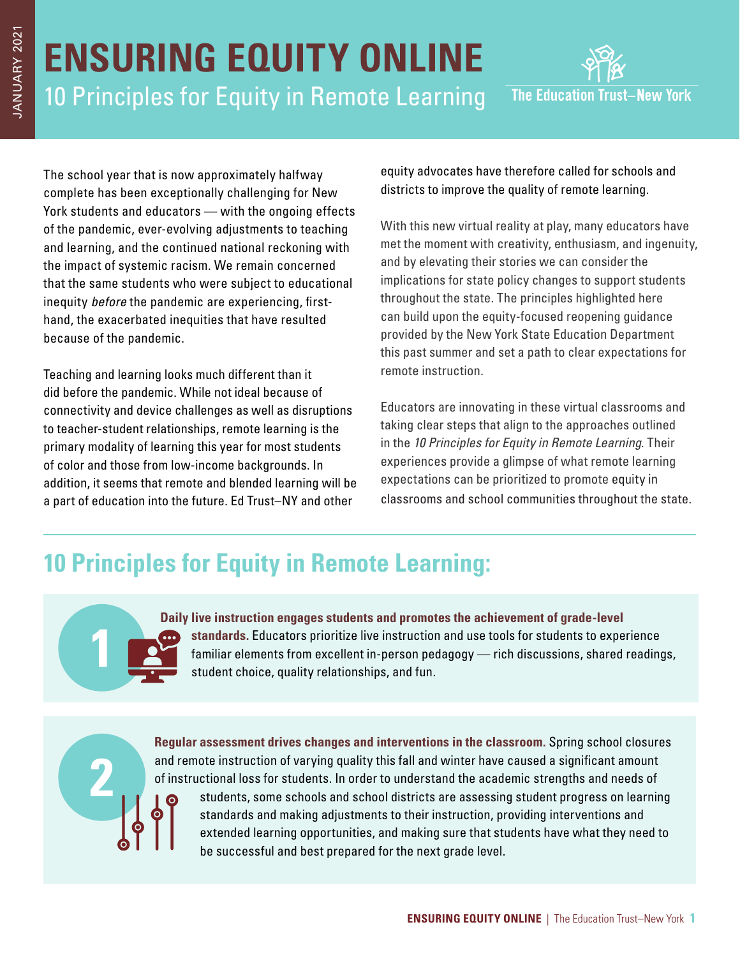## **ENSURING EQUITY ONLINE** 10 Principles for Equity in Remote Learning



The school year that is now approximately halfway complete has been exceptionally challenging for New York students and educators — with the ongoing effects of the pandemic, ever-evolving adjustments to teaching and learning, and the continued national reckoning with the impact of systemic racism. We remain concerned that the same students who were subject to educational inequity before the pandemic are experiencing, firsthand, the exacerbated inequities that have resulted because of the pandemic.

Teaching and learning looks much different than it did before the pandemic. While not ideal because of connectivity and device challenges as well as disruptions to teacher-student relationships, remote learning is the primary modality of learning this year for most students of color and those from low-income backgrounds. In addition, it seems that remote and blended learning will be a part of education into the future. Ed Trust–NY and other

equity advocates have therefore called for schools and districts to improve the quality of remote learning.

With this new virtual reality at play, many educators have met the moment with creativity, enthusiasm, and ingenuity, and by elevating their stories we can consider the implications for state policy changes to support students throughout the state. The principles highlighted here can build upon the equity-focused reopening guidance provided by the New York State Education Department this past summer and set a path to clear expectations for remote instruction.

Educators are innovating in these virtual classrooms and taking clear steps that align to the approaches outlined in the 10 Principles for Equity in Remote Learning. Their experiences provide a glimpse of what remote learning expectations can be prioritized to promote equity in classrooms and school communities throughout the state.

## **10 Principles for Equity in Remote Learning:**

## **1**

**2**

**Daily live instruction engages students and promotes the achievement of grade-level standards.** Educators prioritize live instruction and use tools for students to experience familiar elements from excellent in-person pedagogy — rich discussions, shared readings, student choice, quality relationships, and fun.

**Regular assessment drives changes and interventions in the classroom.** Spring school closures and remote instruction of varying quality this fall and winter have caused a significant amount of instructional loss for students. In order to understand the academic strengths and needs of students, some schools and school districts are assessing student progress on learning standards and making adjustments to their instruction, providing interventions and extended learning opportunities, and making sure that students have what they need to be successful and best prepared for the next grade level.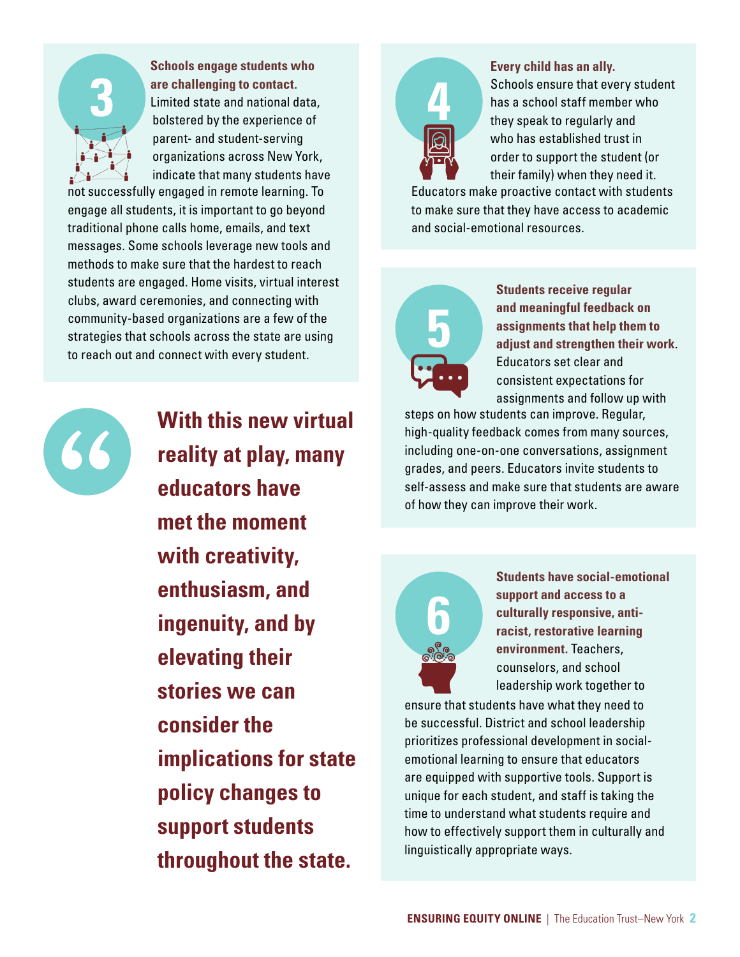

**Schools engage students who are challenging to contact.** Limited state and national data, bolstered by the experience of parent- and student-serving organizations across New York, indicate that many students have

not successfully engaged in remote learning. To engage all students, it is important to go beyond traditional phone calls home, emails, and text messages. Some schools leverage new tools and methods to make sure that the hardest to reach students are engaged. Home visits, virtual interest clubs, award ceremonies, and connecting with community-based organizations are a few of the strategies that schools across the state are using to reach out and connect with every student.



**With this new virtual reality at play, many educators have met the moment with creativity, enthusiasm, and ingenuity, and by elevating their stories we can consider the implications for state policy changes to support students throughout the state.**



**Every child has an ally.**

Schools ensure that every student has a school staff member who they speak to regularly and who has established trust in order to support the student (or their family) when they need it.

Educators make proactive contact with students to make sure that they have access to academic and social-emotional resources.



**Students receive regular and meaningful feedback on assignments that help them to adjust and strengthen their work**. Educators set clear and consistent expectations for assignments and follow up with

steps on how students can improve. Regular, high-quality feedback comes from many sources, including one-on-one conversations, assignment grades, and peers. Educators invite students to self-assess and make sure that students are aware of how they can improve their work.



**Students have social-emotional support and access to a culturally responsive, antiracist, restorative learning environment.** Teachers, counselors, and school leadership work together to

ensure that students have what they need to be successful. District and school leadership prioritizes professional development in socialemotional learning to ensure that educators are equipped with supportive tools. Support is unique for each student, and staff is taking the time to understand what students require and how to effectively support them in culturally and linguistically appropriate ways.